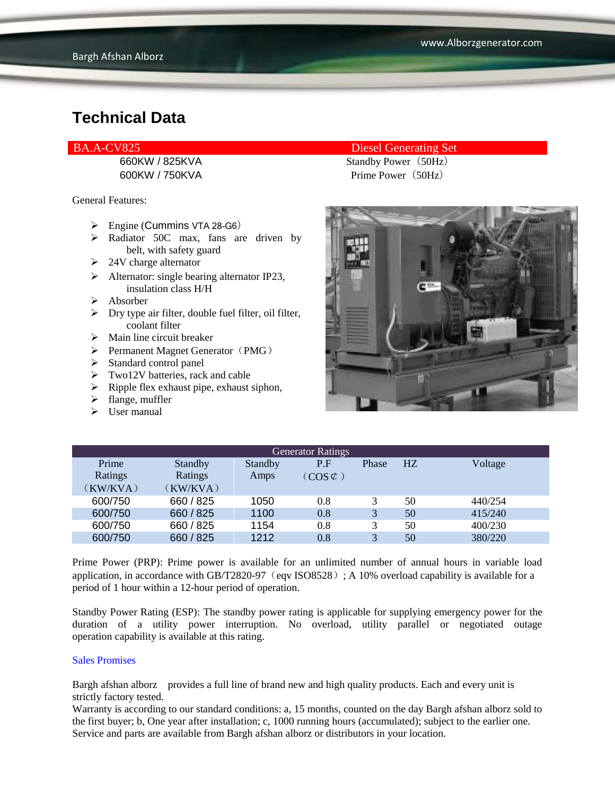### **Technical Data**

General Features:

- $\triangleright$  Engine (Cummins VTA 28-G6)
- > Radiator 50C max, fans are driven by belt, with safety guard
- $\geq 24V$  charge alternator
- $\triangleright$  Alternator: single bearing alternator IP23, insulation class H/H
- $\triangleright$  Absorber
- $\triangleright$  Dry type air filter, double fuel filter, oil filter, coolant filter
- $\triangleright$  Main line circuit breaker
- $\triangleright$  Permanent Magnet Generator (PMG)
- $\triangleright$  Standard control panel
- $\triangleright$  Two12V batteries, rack and cable
- $\triangleright$  Ripple flex exhaust pipe, exhaust siphon,
- $\triangleright$  flange, muffler
- $\triangleright$  User manual

#### BA.A-CV825 Diesel Generating Set

660KW / 825KVA Standby Power (50Hz) 600KW / 750KVA Prime Power(50Hz)



| <b>Generator Ratings</b> |                |                |                     |       |                |         |
|--------------------------|----------------|----------------|---------------------|-------|----------------|---------|
| Prime                    | <b>Standby</b> | <b>Standby</b> | P.F                 | Phase | H <sub>Z</sub> | Voltage |
| Ratings                  | Ratings        | Amps           | $(COS \mathcal{C})$ |       |                |         |
| (KW/KVA)                 | (KW/KVA)       |                |                     |       |                |         |
| 600/750                  | 660 / 825      | 1050           | 0.8                 | 3     | 50             | 440/254 |
| 600/750                  | 660 / 825      | 1100           | 0.8                 | 3     | 50             | 415/240 |
| 600/750                  | 660 / 825      | 1154           | 0.8                 | 3     | 50             | 400/230 |
| 600/750                  | 660 / 825      | 1212           | 0.8                 | 3     | 50             | 380/220 |

Prime Power (PRP): Prime power is available for an unlimited number of annual hours in variable load application, in accordance with GB/T2820-97 (eqv ISO8528); A 10% overload capability is available for a period of 1 hour within a 12-hour period of operation.

Standby Power Rating (ESP): The standby power rating is applicable for supplying emergency power for the duration of a utility power interruption. No overload, utility parallel or negotiated outage operation capability is available at this rating.

#### Sales Promises

Bargh afshan alborz provides a full line of brand new and high quality products. Each and every unit is strictly factory tested.

Warranty is according to our standard conditions: a, 15 months, counted on the day Bargh afshan alborz sold to the first buyer; b, One year after installation; c, 1000 running hours (accumulated); subject to the earlier one. Service and parts are available from Bargh afshan alborz or distributors in your location.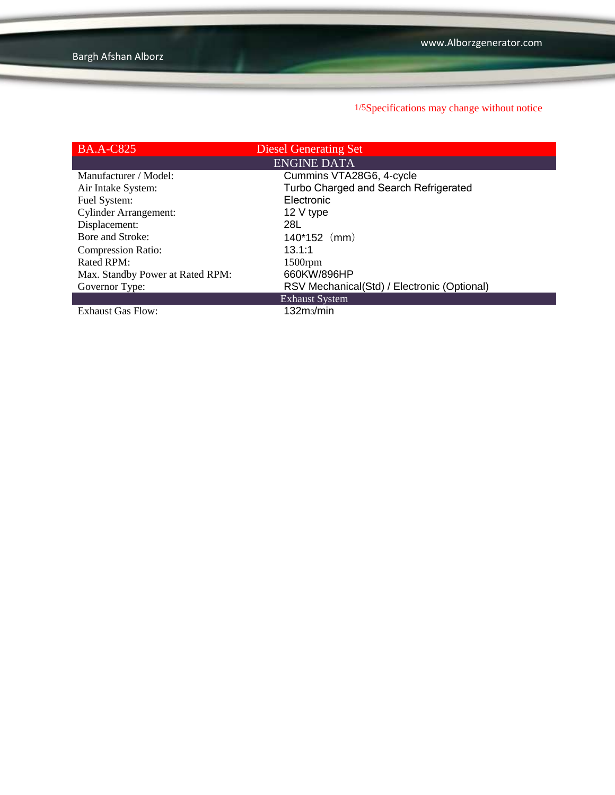1/5Specifications may change without notice

| <b>BA.A-C825</b>                 | <b>Diesel Generating Set</b>                |
|----------------------------------|---------------------------------------------|
|                                  | <b>ENGINE DATA</b>                          |
| Manufacturer / Model:            | Cummins VTA28G6, 4-cycle                    |
| Air Intake System:               | Turbo Charged and Search Refrigerated       |
| Fuel System:                     | Electronic                                  |
| <b>Cylinder Arrangement:</b>     | 12 V type                                   |
| Displacement:                    | 28L                                         |
| Bore and Stroke:                 | $140*152$ (mm)                              |
| <b>Compression Ratio:</b>        | 13.1:1                                      |
| Rated RPM:                       | $1500$ rpm                                  |
| Max. Standby Power at Rated RPM: | 660KW/896HP                                 |
| Governor Type:                   | RSV Mechanical(Std) / Electronic (Optional) |
|                                  | <b>Exhaust System</b>                       |
| <b>Exhaust Gas Flow:</b>         | 132m <sub>3</sub> /min                      |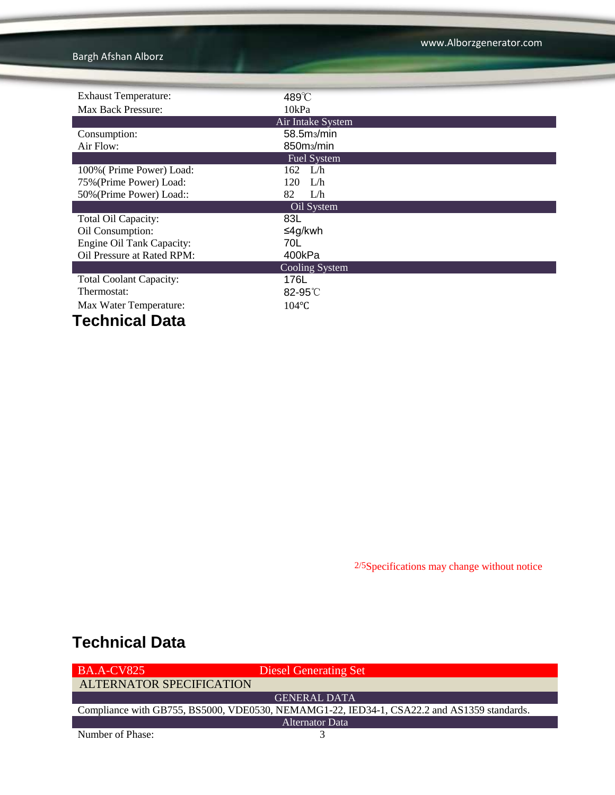Bargh Afshan Alborz

| <b>Exhaust Temperature:</b>    | 489°C                   |  |  |  |
|--------------------------------|-------------------------|--|--|--|
| Max Back Pressure:             | 10kPa                   |  |  |  |
|                                | Air Intake System       |  |  |  |
| Consumption:                   | 58.5m <sub>3</sub> /min |  |  |  |
| Air Flow:                      | 850m <sub>3</sub> /min  |  |  |  |
|                                | <b>Fuel System</b>      |  |  |  |
| 100% (Prime Power) Load:       | $162 \quad L/h$         |  |  |  |
| 75% (Prime Power) Load:        | L/h<br>120              |  |  |  |
| 50% (Prime Power) Load::       | 82<br>L/h               |  |  |  |
| Oil System                     |                         |  |  |  |
| Total Oil Capacity:            | 83L                     |  |  |  |
| Oil Consumption:               | ≤4g/kwh                 |  |  |  |
| Engine Oil Tank Capacity:      | 70L                     |  |  |  |
| Oil Pressure at Rated RPM:     | 400kPa                  |  |  |  |
|                                | Cooling System          |  |  |  |
| <b>Total Coolant Capacity:</b> | 176L                    |  |  |  |
| Thermostat:                    | $82-95^{\circ}$         |  |  |  |
| Max Water Temperature:         | $104$ °C                |  |  |  |
| Tachnical Data                 |                         |  |  |  |

**Technical Data**

2/5Specifications may change without notice

# **Technical Data**

| <b>BA.A-CV825</b>        | <b>Diesel Generating Set</b>                                                               |
|--------------------------|--------------------------------------------------------------------------------------------|
| ALTERNATOR SPECIFICATION |                                                                                            |
|                          | <b>GENERAL DATA</b>                                                                        |
|                          | Compliance with GB755, BS5000, VDE0530, NEMAMG1-22, IED34-1, CSA22.2 and AS1359 standards. |
|                          | Alternator Data                                                                            |
| Number of Phase:         |                                                                                            |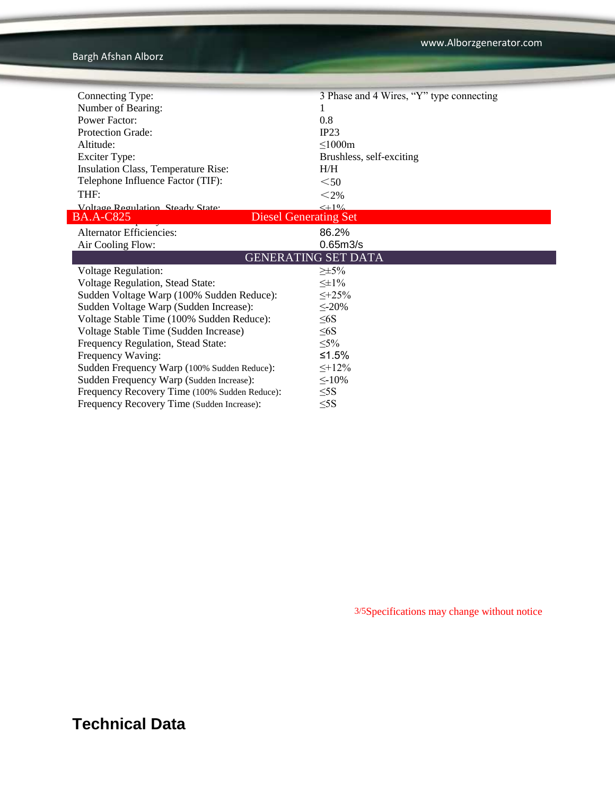| Connecting Type:                                 | 3 Phase and 4 Wires, "Y" type connecting |  |  |
|--------------------------------------------------|------------------------------------------|--|--|
| Number of Bearing:                               |                                          |  |  |
| <b>Power Factor:</b>                             | 0.8                                      |  |  |
| <b>Protection Grade:</b>                         | IP23                                     |  |  |
| Altitude:                                        | $\leq$ 1000m                             |  |  |
| <b>Exciter Type:</b>                             | Brushless, self-exciting                 |  |  |
| Insulation Class, Temperature Rise:              | H/H                                      |  |  |
| Telephone Influence Factor (TIF):                | $50$                                     |  |  |
| THF:                                             | $<$ 2%                                   |  |  |
| Voltage Regulation Steady State:                 | $< +100$                                 |  |  |
| <b>Diesel Generating Set</b><br><b>BA.A-C825</b> |                                          |  |  |
| <b>Alternator Efficiencies:</b>                  | 86.2%                                    |  |  |
| Air Cooling Flow:                                | 0.65m3/s                                 |  |  |
|                                                  | <b>GENERATING SET DATA</b>               |  |  |
| <b>Voltage Regulation:</b>                       | $\geq \pm 5\%$                           |  |  |
| Voltage Regulation, Stead State:                 | $\leq \pm 1\%$                           |  |  |
| Sudden Voltage Warp (100% Sudden Reduce):        | $\leq +25\%$                             |  |  |
| Sudden Voltage Warp (Sudden Increase):           | $\leq$ -20%                              |  |  |
| Voltage Stable Time (100% Sudden Reduce):        | $\leq 6S$                                |  |  |
| Voltage Stable Time (Sudden Increase)            | $\leq 6S$                                |  |  |
| Frequency Regulation, Stead State:               | $\leq 5\%$                               |  |  |
| Frequency Waving:                                | ≤1.5%                                    |  |  |
| Sudden Frequency Warp (100% Sudden Reduce):      | $\leq +12\%$                             |  |  |
| Sudden Frequency Warp (Sudden Increase):         | $\leq$ -10%                              |  |  |
| Frequency Recovery Time (100% Sudden Reduce):    | $\leq$ 5S                                |  |  |
| Frequency Recovery Time (Sudden Increase):       | $\leq$ 5S                                |  |  |

3/5Specifications may change without notice

# **Technical Data**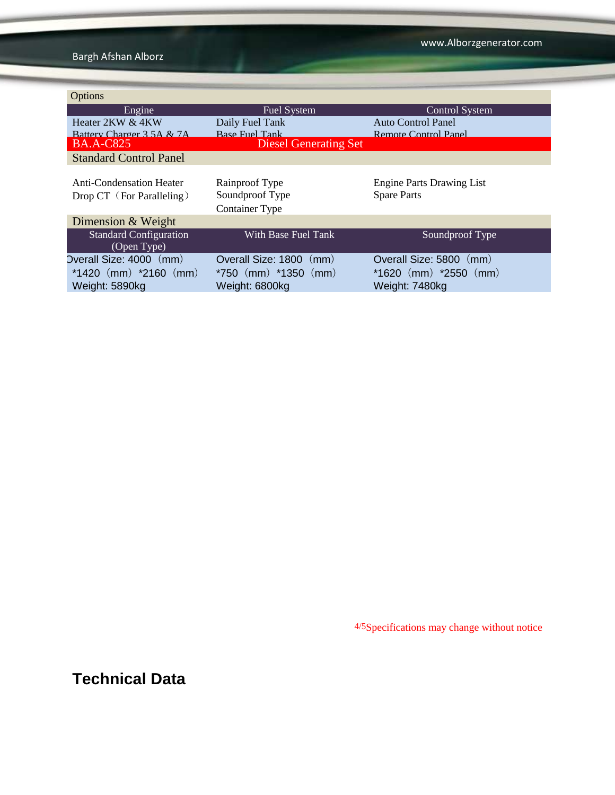Bargh Afshan Alborz

| Options                                                                |                                                                          |                                                                        |
|------------------------------------------------------------------------|--------------------------------------------------------------------------|------------------------------------------------------------------------|
| Engine                                                                 | Fuel System                                                              | <b>Control System</b>                                                  |
| Heater 2KW & 4KW                                                       | Daily Fuel Tank                                                          | Auto Control Panel                                                     |
| Battery Charger 3.5A & 7A                                              | <b>Base Fuel Tank</b>                                                    | Remote Control Panel                                                   |
| <b>BA.A-C825</b>                                                       | <b>Diesel Generating Set</b>                                             |                                                                        |
| <b>Standard Control Panel</b>                                          |                                                                          |                                                                        |
| <b>Anti-Condensation Heater</b><br>Drop CT (For Paralleling)           | Rainproof Type<br>Soundproof Type<br><b>Container Type</b>               | <b>Engine Parts Drawing List</b><br><b>Spare Parts</b>                 |
| Dimension & Weight                                                     |                                                                          |                                                                        |
| <b>Standard Configuration</b><br>(Open Type)                           | With Base Fuel Tank                                                      | Soundproof Type                                                        |
| Overall Size: 4000 (mm)<br>$*1420$ (mm) $*2160$ (mm)<br>Weight: 5890kg | Overall Size: 1800<br>(mm)<br>$*750$ (mm) $*1350$ (mm)<br>Weight: 6800kg | Overall Size: 5800 (mm)<br>$*1620$ (mm) $*2550$ (mm)<br>Weight: 7480kg |

4/5Specifications may change without notice

**Technical Data**